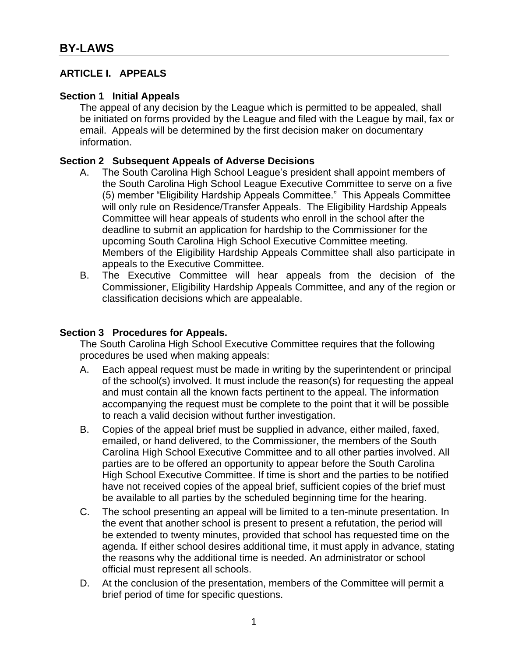### **ARTICLE I. APPEALS**

#### **Section 1 Initial Appeals**

The appeal of any decision by the League which is permitted to be appealed, shall be initiated on forms provided by the League and filed with the League by mail, fax or email. Appeals will be determined by the first decision maker on documentary information.

#### **Section 2 Subsequent Appeals of Adverse Decisions**

- A. The South Carolina High School League's president shall appoint members of the South Carolina High School League Executive Committee to serve on a five (5) member "Eligibility Hardship Appeals Committee." This Appeals Committee will only rule on Residence/Transfer Appeals. The Eligibility Hardship Appeals Committee will hear appeals of students who enroll in the school after the deadline to submit an application for hardship to the Commissioner for the upcoming South Carolina High School Executive Committee meeting. Members of the Eligibility Hardship Appeals Committee shall also participate in appeals to the Executive Committee.
- B. The Executive Committee will hear appeals from the decision of the Commissioner, Eligibility Hardship Appeals Committee, and any of the region or classification decisions which are appealable.

## **Section 3 Procedures for Appeals.**

The South Carolina High School Executive Committee requires that the following procedures be used when making appeals:

- A. Each appeal request must be made in writing by the superintendent or principal of the school(s) involved. It must include the reason(s) for requesting the appeal and must contain all the known facts pertinent to the appeal. The information accompanying the request must be complete to the point that it will be possible to reach a valid decision without further investigation.
- B. Copies of the appeal brief must be supplied in advance, either mailed, faxed, emailed, or hand delivered, to the Commissioner, the members of the South Carolina High School Executive Committee and to all other parties involved. All parties are to be offered an opportunity to appear before the South Carolina High School Executive Committee. If time is short and the parties to be notified have not received copies of the appeal brief, sufficient copies of the brief must be available to all parties by the scheduled beginning time for the hearing.
- C. The school presenting an appeal will be limited to a ten-minute presentation. In the event that another school is present to present a refutation, the period will be extended to twenty minutes, provided that school has requested time on the agenda. If either school desires additional time, it must apply in advance, stating the reasons why the additional time is needed. An administrator or school official must represent all schools.
- D. At the conclusion of the presentation, members of the Committee will permit a brief period of time for specific questions.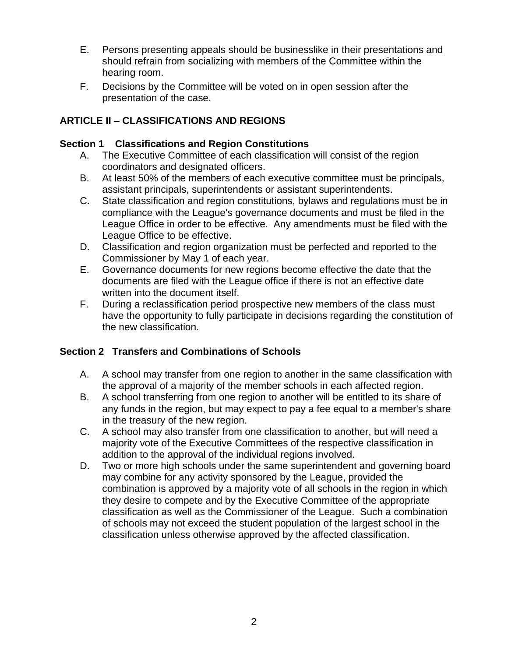- E. Persons presenting appeals should be businesslike in their presentations and should refrain from socializing with members of the Committee within the hearing room.
- F. Decisions by the Committee will be voted on in open session after the presentation of the case.

# **ARTICLE II – CLASSIFICATIONS AND REGIONS**

## **Section 1 Classifications and Region Constitutions**

- A. The Executive Committee of each classification will consist of the region coordinators and designated officers.
- B. At least 50% of the members of each executive committee must be principals, assistant principals, superintendents or assistant superintendents.
- C. State classification and region constitutions, bylaws and regulations must be in compliance with the League's governance documents and must be filed in the League Office in order to be effective. Any amendments must be filed with the League Office to be effective.
- D. Classification and region organization must be perfected and reported to the Commissioner by May 1 of each year.
- E. Governance documents for new regions become effective the date that the documents are filed with the League office if there is not an effective date written into the document itself.
- F. During a reclassification period prospective new members of the class must have the opportunity to fully participate in decisions regarding the constitution of the new classification.

# **Section 2 Transfers and Combinations of Schools**

- A. A school may transfer from one region to another in the same classification with the approval of a majority of the member schools in each affected region.
- B. A school transferring from one region to another will be entitled to its share of any funds in the region, but may expect to pay a fee equal to a member's share in the treasury of the new region.
- C. A school may also transfer from one classification to another, but will need a majority vote of the Executive Committees of the respective classification in addition to the approval of the individual regions involved.
- D. Two or more high schools under the same superintendent and governing board may combine for any activity sponsored by the League, provided the combination is approved by a majority vote of all schools in the region in which they desire to compete and by the Executive Committee of the appropriate classification as well as the Commissioner of the League. Such a combination of schools may not exceed the student population of the largest school in the classification unless otherwise approved by the affected classification.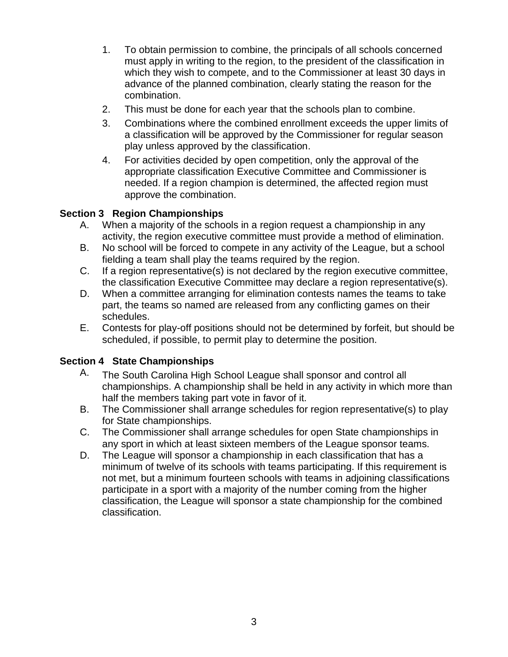- 1. To obtain permission to combine, the principals of all schools concerned must apply in writing to the region, to the president of the classification in which they wish to compete, and to the Commissioner at least 30 days in advance of the planned combination, clearly stating the reason for the combination.
- 2. This must be done for each year that the schools plan to combine.
- 3. Combinations where the combined enrollment exceeds the upper limits of a classification will be approved by the Commissioner for regular season play unless approved by the classification.
- 4. For activities decided by open competition, only the approval of the appropriate classification Executive Committee and Commissioner is needed. If a region champion is determined, the affected region must approve the combination.

## **Section 3 Region Championships**

- A. When a majority of the schools in a region request a championship in any activity, the region executive committee must provide a method of elimination.
- B. No school will be forced to compete in any activity of the League, but a school fielding a team shall play the teams required by the region.
- C. If a region representative(s) is not declared by the region executive committee, the classification Executive Committee may declare a region representative(s).
- D. When a committee arranging for elimination contests names the teams to take part, the teams so named are released from any conflicting games on their schedules.
- E. Contests for play-off positions should not be determined by forfeit, but should be scheduled, if possible, to permit play to determine the position.

## **Section 4 State Championships**

- A. The South Carolina High School League shall sponsor and control all championships. A championship shall be held in any activity in which more than half the members taking part vote in favor of it.
- B. The Commissioner shall arrange schedules for region representative(s) to play for State championships.
- C. The Commissioner shall arrange schedules for open State championships in any sport in which at least sixteen members of the League sponsor teams.
- D. The League will sponsor a championship in each classification that has a minimum of twelve of its schools with teams participating. If this requirement is not met, but a minimum fourteen schools with teams in adjoining classifications participate in a sport with a majority of the number coming from the higher classification, the League will sponsor a state championship for the combined classification.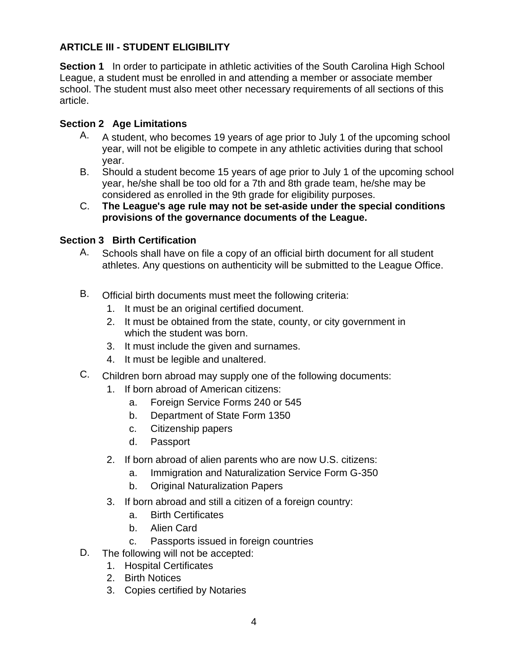# **ARTICLE III - STUDENT ELIGIBILITY**

**Section 1** In order to participate in athletic activities of the South Carolina High School League, a student must be enrolled in and attending a member or associate member school. The student must also meet other necessary requirements of all sections of this article.

## **Section 2 Age Limitations**

- A. A student, who becomes 19 years of age prior to July 1 of the upcoming school year, will not be eligible to compete in any athletic activities during that school year.
- B. Should a student become 15 years of age prior to July 1 of the upcoming school year, he/she shall be too old for a 7th and 8th grade team, he/she may be considered as enrolled in the 9th grade for eligibility purposes.
- C. **The League's age rule may not be set-aside under the special conditions provisions of the governance documents of the League.**

## **Section 3 Birth Certification**

- A. Schools shall have on file a copy of an official birth document for all student athletes. Any questions on authenticity will be submitted to the League Office.
- B. Official birth documents must meet the following criteria:
	- 1. It must be an original certified document.
	- 2. It must be obtained from the state, county, or city government in which the student was born.
	- 3. It must include the given and surnames.
	- 4. It must be legible and unaltered.
- C. Children born abroad may supply one of the following documents:
	- 1. If born abroad of American citizens:
		- a. Foreign Service Forms 240 or 545
		- b. Department of State Form 1350
		- c. Citizenship papers
		- d. Passport
	- 2. If born abroad of alien parents who are now U.S. citizens:
		- a. Immigration and Naturalization Service Form G-350
		- b. Original Naturalization Papers
	- 3. If born abroad and still a citizen of a foreign country:
		- a. Birth Certificates
		- b. Alien Card
		- c. Passports issued in foreign countries
- D. The following will not be accepted:
	- 1. Hospital Certificates
	- 2. Birth Notices
	- 3. Copies certified by Notaries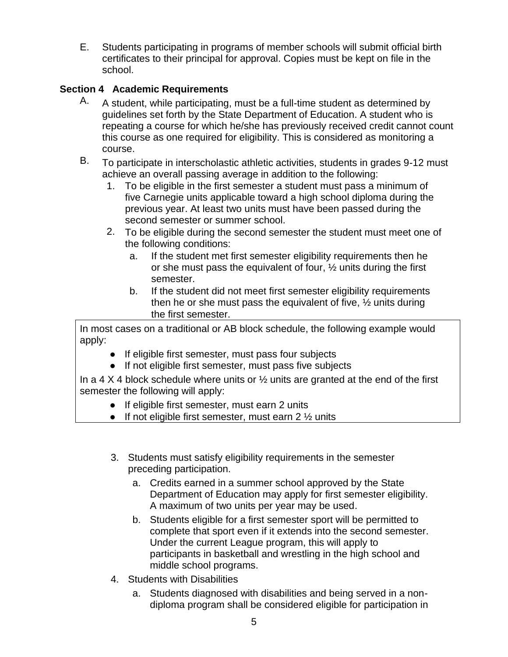E. Students participating in programs of member schools will submit official birth certificates to their principal for approval. Copies must be kept on file in the school.

# **Section 4 Academic Requirements**

- A. A student, while participating, must be a full-time student as determined by guidelines set forth by the State Department of Education. A student who is repeating a course for which he/she has previously received credit cannot count this course as one required for eligibility. This is considered as monitoring a course.
- B. To participate in interscholastic athletic activities, students in grades 9-12 must achieve an overall passing average in addition to the following:
	- 1. To be eligible in the first semester a student must pass a minimum of five Carnegie units applicable toward a high school diploma during the previous year. At least two units must have been passed during the second semester or summer school.
	- 2. To be eligible during the second semester the student must meet one of the following conditions:
		- a. If the student met first semester eligibility requirements then he or she must pass the equivalent of four, ½ units during the first semester.
		- b. If the student did not meet first semester eligibility requirements then he or she must pass the equivalent of five,  $\frac{1}{2}$  units during the first semester.

In most cases on a traditional or AB block schedule, the following example would apply:

- If eligible first semester, must pass four subjects
- If not eligible first semester, must pass five subjects

In a 4 X 4 block schedule where units or  $\frac{1}{2}$  units are granted at the end of the first semester the following will apply:

- If eligible first semester, must earn 2 units
- $\bullet$  If not eligible first semester, must earn 2  $\frac{1}{2}$  units
- 3. Students must satisfy eligibility requirements in the semester preceding participation.
	- a. Credits earned in a summer school approved by the State Department of Education may apply for first semester eligibility. A maximum of two units per year may be used.
	- b. Students eligible for a first semester sport will be permitted to complete that sport even if it extends into the second semester. Under the current League program, this will apply to participants in basketball and wrestling in the high school and middle school programs.
- 4. Students with Disabilities
	- a. Students diagnosed with disabilities and being served in a nondiploma program shall be considered eligible for participation in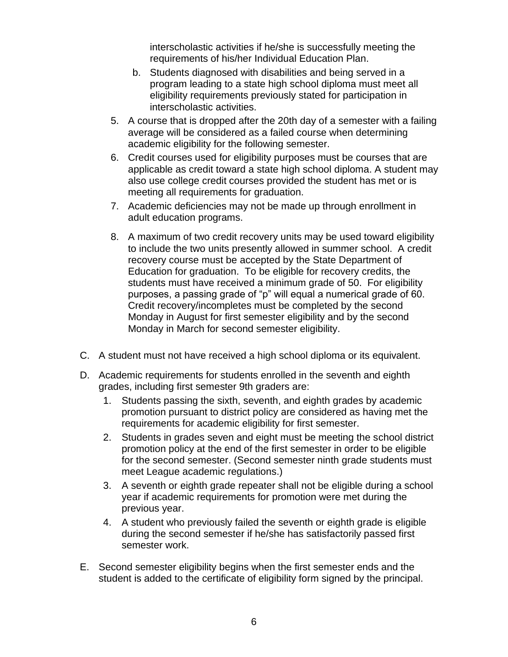interscholastic activities if he/she is successfully meeting the requirements of his/her Individual Education Plan.

- b. Students diagnosed with disabilities and being served in a program leading to a state high school diploma must meet all eligibility requirements previously stated for participation in interscholastic activities.
- 5. A course that is dropped after the 20th day of a semester with a failing average will be considered as a failed course when determining academic eligibility for the following semester.
- 6. Credit courses used for eligibility purposes must be courses that are applicable as credit toward a state high school diploma. A student may also use college credit courses provided the student has met or is meeting all requirements for graduation.
- 7. Academic deficiencies may not be made up through enrollment in adult education programs.
- 8. A maximum of two credit recovery units may be used toward eligibility to include the two units presently allowed in summer school. A credit recovery course must be accepted by the State Department of Education for graduation. To be eligible for recovery credits, the students must have received a minimum grade of 50. For eligibility purposes, a passing grade of "p" will equal a numerical grade of 60. Credit recovery/incompletes must be completed by the second Monday in August for first semester eligibility and by the second Monday in March for second semester eligibility.
- C. A student must not have received a high school diploma or its equivalent.
- D. Academic requirements for students enrolled in the seventh and eighth grades, including first semester 9th graders are:
	- 1. Students passing the sixth, seventh, and eighth grades by academic promotion pursuant to district policy are considered as having met the requirements for academic eligibility for first semester.
	- 2. Students in grades seven and eight must be meeting the school district promotion policy at the end of the first semester in order to be eligible for the second semester. (Second semester ninth grade students must meet League academic regulations.)
	- 3. A seventh or eighth grade repeater shall not be eligible during a school year if academic requirements for promotion were met during the previous year.
	- 4. A student who previously failed the seventh or eighth grade is eligible during the second semester if he/she has satisfactorily passed first semester work.
- E. Second semester eligibility begins when the first semester ends and the student is added to the certificate of eligibility form signed by the principal.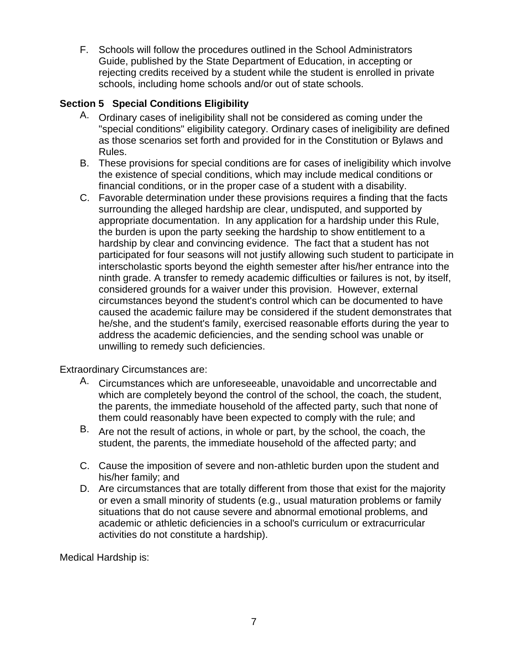F. Schools will follow the procedures outlined in the School Administrators Guide, published by the State Department of Education, in accepting or rejecting credits received by a student while the student is enrolled in private schools, including home schools and/or out of state schools.

# **Section 5 Special Conditions Eligibility**

- A. Ordinary cases of ineligibility shall not be considered as coming under the "special conditions" eligibility category. Ordinary cases of ineligibility are defined as those scenarios set forth and provided for in the Constitution or Bylaws and Rules.
- B. These provisions for special conditions are for cases of ineligibility which involve the existence of special conditions, which may include medical conditions or financial conditions, or in the proper case of a student with a disability.
- C. Favorable determination under these provisions requires a finding that the facts surrounding the alleged hardship are clear, undisputed, and supported by appropriate documentation. In any application for a hardship under this Rule, the burden is upon the party seeking the hardship to show entitlement to a hardship by clear and convincing evidence. The fact that a student has not participated for four seasons will not justify allowing such student to participate in interscholastic sports beyond the eighth semester after his/her entrance into the ninth grade. A transfer to remedy academic difficulties or failures is not, by itself, considered grounds for a waiver under this provision. However, external circumstances beyond the student's control which can be documented to have caused the academic failure may be considered if the student demonstrates that he/she, and the student's family, exercised reasonable efforts during the year to address the academic deficiencies, and the sending school was unable or unwilling to remedy such deficiencies.

Extraordinary Circumstances are:

- A. Circumstances which are unforeseeable, unavoidable and uncorrectable and which are completely beyond the control of the school, the coach, the student, the parents, the immediate household of the affected party, such that none of them could reasonably have been expected to comply with the rule; and
- B. Are not the result of actions, in whole or part, by the school, the coach, the student, the parents, the immediate household of the affected party; and
- C. Cause the imposition of severe and non-athletic burden upon the student and his/her family; and
- D. Are circumstances that are totally different from those that exist for the majority or even a small minority of students (e.g., usual maturation problems or family situations that do not cause severe and abnormal emotional problems, and academic or athletic deficiencies in a school's curriculum or extracurricular activities do not constitute a hardship).

Medical Hardship is: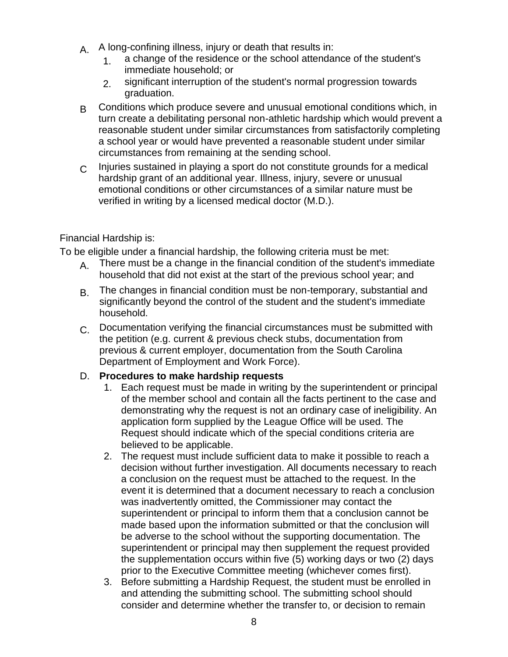- A. A long-confining illness, injury or death that results in:
	- 1 a change of the residence or the school attendance of the student's immediate household; or
	- 2. significant interruption of the student's normal progression towards graduation.
- B Conditions which produce severe and unusual emotional conditions which, in turn create a debilitating personal non-athletic hardship which would prevent a reasonable student under similar circumstances from satisfactorily completing a school year or would have prevented a reasonable student under similar circumstances from remaining at the sending school.
- $C<sub>c</sub>$  Injuries sustained in playing a sport do not constitute grounds for a medical hardship grant of an additional year. Illness, injury, severe or unusual emotional conditions or other circumstances of a similar nature must be verified in writing by a licensed medical doctor (M.D.).

## Financial Hardship is:

To be eligible under a financial hardship, the following criteria must be met:

- $A<sub>L</sub>$  There must be a change in the financial condition of the student's immediate household that did not exist at the start of the previous school year; and
- B. The changes in financial condition must be non-temporary, substantial and significantly beyond the control of the student and the student's immediate household.
- C. Documentation verifying the financial circumstances must be submitted with the petition (e.g. current & previous check stubs, documentation from previous & current employer, documentation from the South Carolina Department of Employment and Work Force).

### D. **Procedures to make hardship requests**

- 1. Each request must be made in writing by the superintendent or principal of the member school and contain all the facts pertinent to the case and demonstrating why the request is not an ordinary case of ineligibility. An application form supplied by the League Office will be used. The Request should indicate which of the special conditions criteria are believed to be applicable.
- 2. The request must include sufficient data to make it possible to reach a decision without further investigation. All documents necessary to reach a conclusion on the request must be attached to the request. In the event it is determined that a document necessary to reach a conclusion was inadvertently omitted, the Commissioner may contact the superintendent or principal to inform them that a conclusion cannot be made based upon the information submitted or that the conclusion will be adverse to the school without the supporting documentation. The superintendent or principal may then supplement the request provided the supplementation occurs within five (5) working days or two (2) days prior to the Executive Committee meeting (whichever comes first).
- 3. Before submitting a Hardship Request, the student must be enrolled in and attending the submitting school. The submitting school should consider and determine whether the transfer to, or decision to remain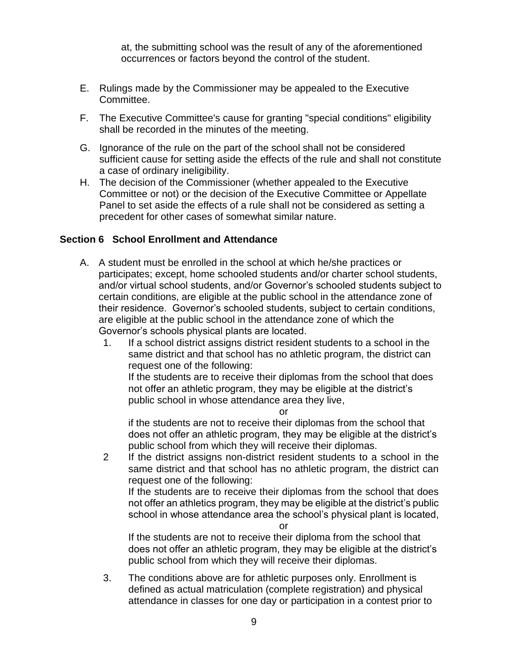at, the submitting school was the result of any of the aforementioned occurrences or factors beyond the control of the student.

- E. Rulings made by the Commissioner may be appealed to the Executive Committee.
- F. The Executive Committee's cause for granting "special conditions" eligibility shall be recorded in the minutes of the meeting.
- G. Ignorance of the rule on the part of the school shall not be considered sufficient cause for setting aside the effects of the rule and shall not constitute a case of ordinary ineligibility.
- H. The decision of the Commissioner (whether appealed to the Executive Committee or not) or the decision of the Executive Committee or Appellate Panel to set aside the effects of a rule shall not be considered as setting a precedent for other cases of somewhat similar nature.

### **Section 6 School Enrollment and Attendance**

- A. A student must be enrolled in the school at which he/she practices or participates; except, home schooled students and/or charter school students, and/or virtual school students, and/or Governor's schooled students subject to certain conditions, are eligible at the public school in the attendance zone of their residence. Governor's schooled students, subject to certain conditions, are eligible at the public school in the attendance zone of which the Governor's schools physical plants are located.
	- 1. If a school district assigns district resident students to a school in the same district and that school has no athletic program, the district can request one of the following:

If the students are to receive their diplomas from the school that does not offer an athletic program, they may be eligible at the district's public school in whose attendance area they live,

or

if the students are not to receive their diplomas from the school that does not offer an athletic program, they may be eligible at the district's public school from which they will receive their diplomas.

2 If the district assigns non-district resident students to a school in the same district and that school has no athletic program, the district can request one of the following:

If the students are to receive their diplomas from the school that does not offer an athletics program, they may be eligible at the district's public school in whose attendance area the school's physical plant is located,

or

If the students are not to receive their diploma from the school that does not offer an athletic program, they may be eligible at the district's public school from which they will receive their diplomas.

3. The conditions above are for athletic purposes only. Enrollment is defined as actual matriculation (complete registration) and physical attendance in classes for one day or participation in a contest prior to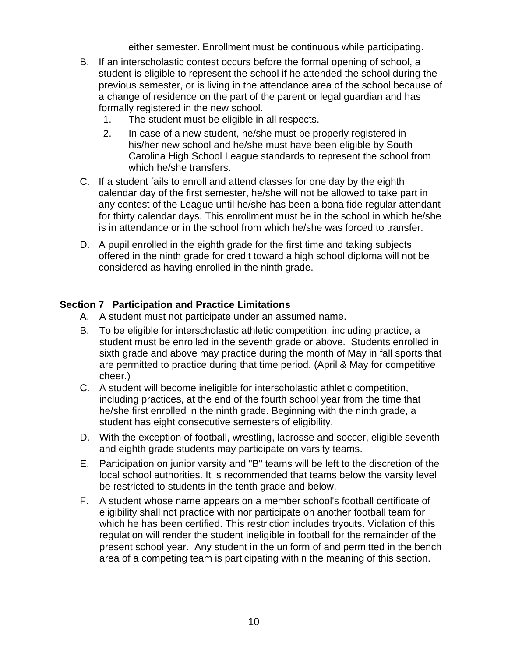either semester. Enrollment must be continuous while participating.

- B. If an interscholastic contest occurs before the formal opening of school, a student is eligible to represent the school if he attended the school during the previous semester, or is living in the attendance area of the school because of a change of residence on the part of the parent or legal guardian and has formally registered in the new school.
	- 1. The student must be eligible in all respects.
	- 2. In case of a new student, he/she must be properly registered in his/her new school and he/she must have been eligible by South Carolina High School League standards to represent the school from which he/she transfers.
- C. If a student fails to enroll and attend classes for one day by the eighth calendar day of the first semester, he/she will not be allowed to take part in any contest of the League until he/she has been a bona fide regular attendant for thirty calendar days. This enrollment must be in the school in which he/she is in attendance or in the school from which he/she was forced to transfer.
- D. A pupil enrolled in the eighth grade for the first time and taking subjects offered in the ninth grade for credit toward a high school diploma will not be considered as having enrolled in the ninth grade.

## **Section 7 Participation and Practice Limitations**

- A. A student must not participate under an assumed name.
- B. To be eligible for interscholastic athletic competition, including practice, a student must be enrolled in the seventh grade or above. Students enrolled in sixth grade and above may practice during the month of May in fall sports that are permitted to practice during that time period. (April & May for competitive cheer.)
- C. A student will become ineligible for interscholastic athletic competition, including practices, at the end of the fourth school year from the time that he/she first enrolled in the ninth grade. Beginning with the ninth grade, a student has eight consecutive semesters of eligibility.
- D. With the exception of football, wrestling, lacrosse and soccer, eligible seventh and eighth grade students may participate on varsity teams.
- E. Participation on junior varsity and "B" teams will be left to the discretion of the local school authorities. It is recommended that teams below the varsity level be restricted to students in the tenth grade and below.
- F. A student whose name appears on a member school's football certificate of eligibility shall not practice with nor participate on another football team for which he has been certified. This restriction includes tryouts. Violation of this regulation will render the student ineligible in football for the remainder of the present school year. Any student in the uniform of and permitted in the bench area of a competing team is participating within the meaning of this section.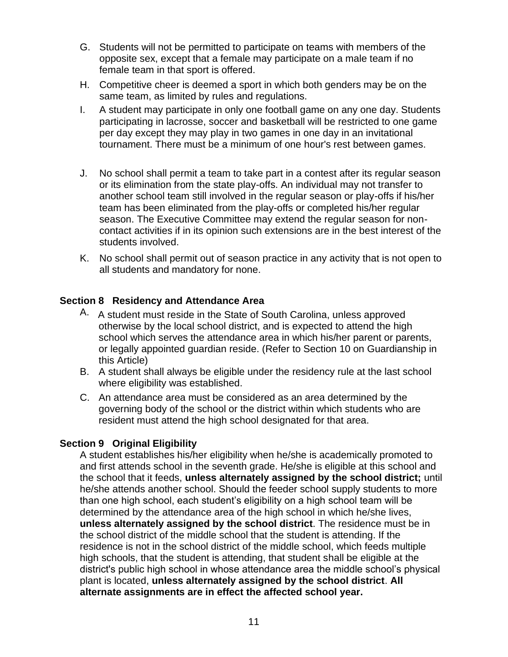- G. Students will not be permitted to participate on teams with members of the opposite sex, except that a female may participate on a male team if no female team in that sport is offered.
- H. Competitive cheer is deemed a sport in which both genders may be on the same team, as limited by rules and regulations.
- I. A student may participate in only one football game on any one day. Students participating in lacrosse, soccer and basketball will be restricted to one game per day except they may play in two games in one day in an invitational tournament. There must be a minimum of one hour's rest between games.
- J. No school shall permit a team to take part in a contest after its regular season or its elimination from the state play-offs. An individual may not transfer to another school team still involved in the regular season or play-offs if his/her team has been eliminated from the play-offs or completed his/her regular season. The Executive Committee may extend the regular season for noncontact activities if in its opinion such extensions are in the best interest of the students involved.
- K. No school shall permit out of season practice in any activity that is not open to all students and mandatory for none.

## **Section 8 Residency and Attendance Area**

- A. A student must reside in the State of South Carolina, unless approved otherwise by the local school district, and is expected to attend the high school which serves the attendance area in which his/her parent or parents, or legally appointed guardian reside. (Refer to Section 10 on Guardianship in this Article)
- B. A student shall always be eligible under the residency rule at the last school where eligibility was established.
- C. An attendance area must be considered as an area determined by the governing body of the school or the district within which students who are resident must attend the high school designated for that area.

## **Section 9 Original Eligibility**

A student establishes his/her eligibility when he/she is academically promoted to and first attends school in the seventh grade. He/she is eligible at this school and the school that it feeds, **unless alternately assigned by the school district;** until he/she attends another school. Should the feeder school supply students to more than one high school, each student's eligibility on a high school team will be determined by the attendance area of the high school in which he/she lives, **unless alternately assigned by the school district**. The residence must be in the school district of the middle school that the student is attending. If the residence is not in the school district of the middle school, which feeds multiple high schools, that the student is attending, that student shall be eligible at the district's public high school in whose attendance area the middle school's physical plant is located, **unless alternately assigned by the school district**. **All alternate assignments are in effect the affected school year.**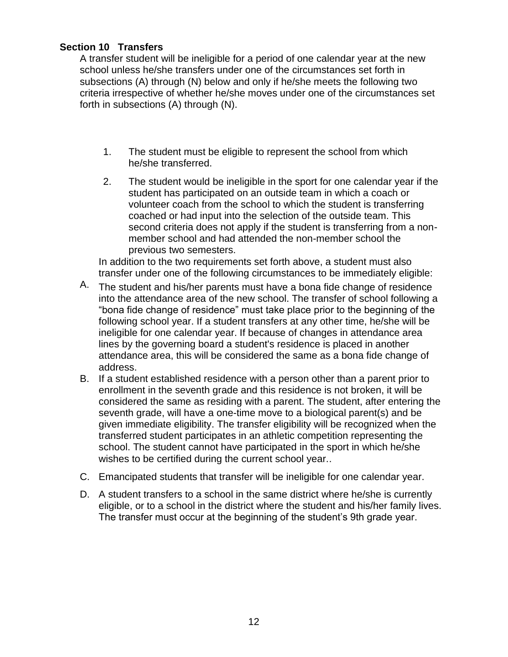## **Section 10 Transfers**

A transfer student will be ineligible for a period of one calendar year at the new school unless he/she transfers under one of the circumstances set forth in subsections (A) through (N) below and only if he/she meets the following two criteria irrespective of whether he/she moves under one of the circumstances set forth in subsections (A) through (N).

- 1. The student must be eligible to represent the school from which he/she transferred.
- 2. The student would be ineligible in the sport for one calendar year if the student has participated on an outside team in which a coach or volunteer coach from the school to which the student is transferring coached or had input into the selection of the outside team. This second criteria does not apply if the student is transferring from a nonmember school and had attended the non-member school the previous two semesters.

In addition to the two requirements set forth above, a student must also transfer under one of the following circumstances to be immediately eligible:

- A. The student and his/her parents must have a bona fide change of residence into the attendance area of the new school. The transfer of school following a "bona fide change of residence" must take place prior to the beginning of the following school year. If a student transfers at any other time, he/she will be ineligible for one calendar year. If because of changes in attendance area lines by the governing board a student's residence is placed in another attendance area, this will be considered the same as a bona fide change of address.
- B. If a student established residence with a person other than a parent prior to enrollment in the seventh grade and this residence is not broken, it will be considered the same as residing with a parent. The student, after entering the seventh grade, will have a one-time move to a biological parent(s) and be given immediate eligibility. The transfer eligibility will be recognized when the transferred student participates in an athletic competition representing the school. The student cannot have participated in the sport in which he/she wishes to be certified during the current school year..
- C. Emancipated students that transfer will be ineligible for one calendar year.
- D. A student transfers to a school in the same district where he/she is currently eligible, or to a school in the district where the student and his/her family lives. The transfer must occur at the beginning of the student's 9th grade year.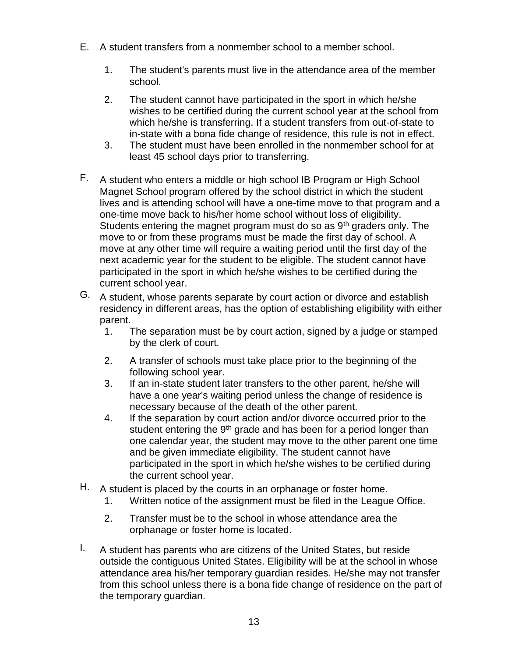- E. A student transfers from a nonmember school to a member school.
	- 1. The student's parents must live in the attendance area of the member school.
	- 2. The student cannot have participated in the sport in which he/she wishes to be certified during the current school year at the school from which he/she is transferring. If a student transfers from out-of-state to in-state with a bona fide change of residence, this rule is not in effect.
	- 3. The student must have been enrolled in the nonmember school for at least 45 school days prior to transferring.
- F. A student who enters a middle or high school IB Program or High School Magnet School program offered by the school district in which the student lives and is attending school will have a one-time move to that program and a one-time move back to his/her home school without loss of eligibility. Students entering the magnet program must do so as  $9<sup>th</sup>$  graders only. The move to or from these programs must be made the first day of school. A move at any other time will require a waiting period until the first day of the next academic year for the student to be eligible. The student cannot have participated in the sport in which he/she wishes to be certified during the current school year.
- G. A student, whose parents separate by court action or divorce and establish residency in different areas, has the option of establishing eligibility with either parent.
	- 1. The separation must be by court action, signed by a judge or stamped by the clerk of court.
	- 2. A transfer of schools must take place prior to the beginning of the following school year.
	- 3. If an in-state student later transfers to the other parent, he/she will have a one year's waiting period unless the change of residence is necessary because of the death of the other parent.
	- 4. If the separation by court action and/or divorce occurred prior to the student entering the  $9<sup>th</sup>$  grade and has been for a period longer than one calendar year, the student may move to the other parent one time and be given immediate eligibility. The student cannot have participated in the sport in which he/she wishes to be certified during the current school year.
- H. A student is placed by the courts in an orphanage or foster home.
	- 1. Written notice of the assignment must be filed in the League Office.
	- 2. Transfer must be to the school in whose attendance area the orphanage or foster home is located.
- I. A student has parents who are citizens of the United States, but reside outside the contiguous United States. Eligibility will be at the school in whose attendance area his/her temporary guardian resides. He/she may not transfer from this school unless there is a bona fide change of residence on the part of the temporary guardian.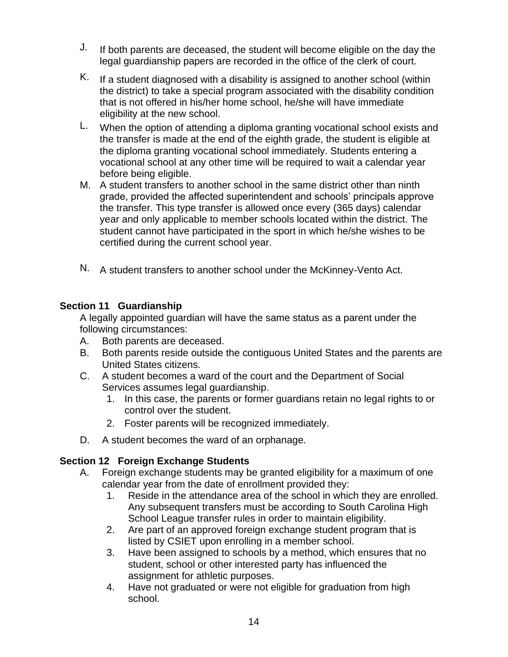- $J.$  If both parents are deceased, the student will become eligible on the day the legal guardianship papers are recorded in the office of the clerk of court.
- K. If a student diagnosed with a disability is assigned to another school (within the district) to take a special program associated with the disability condition that is not offered in his/her home school, he/she will have immediate eligibility at the new school.
- $L.$  When the option of attending a diploma granting vocational school exists and the transfer is made at the end of the eighth grade, the student is eligible at the diploma granting vocational school immediately. Students entering a vocational school at any other time will be required to wait a calendar year before being eligible.
- M. A student transfers to another school in the same district other than ninth grade, provided the affected superintendent and schools' principals approve the transfer. This type transfer is allowed once every (365 days) calendar year and only applicable to member schools located within the district. The student cannot have participated in the sport in which he/she wishes to be certified during the current school year.
- N. A student transfers to another school under the McKinney-Vento Act.

## **Section 11 Guardianship**

A legally appointed guardian will have the same status as a parent under the following circumstances:

- A. Both parents are deceased.
- B. Both parents reside outside the contiguous United States and the parents are United States citizens.
- C. A student becomes a ward of the court and the Department of Social Services assumes legal guardianship.
	- 1. In this case, the parents or former guardians retain no legal rights to or control over the student.
	- 2. Foster parents will be recognized immediately.
- D. A student becomes the ward of an orphanage.

# **Section 12 Foreign Exchange Students**

- A. Foreign exchange students may be granted eligibility for a maximum of one calendar year from the date of enrollment provided they:
	- 1. Reside in the attendance area of the school in which they are enrolled. Any subsequent transfers must be according to South Carolina High School League transfer rules in order to maintain eligibility.
	- 2. Are part of an approved foreign exchange student program that is listed by CSIET upon enrolling in a member school.
	- 3. Have been assigned to schools by a method, which ensures that no student, school or other interested party has influenced the assignment for athletic purposes.
	- 4. Have not graduated or were not eligible for graduation from high school.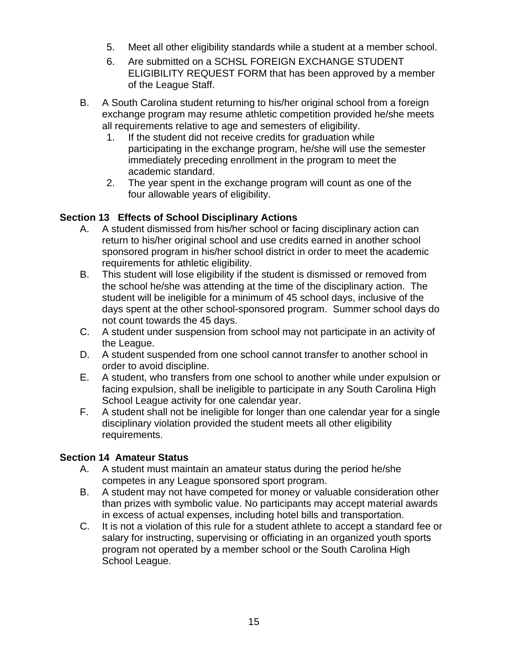- 5. Meet all other eligibility standards while a student at a member school.
- 6. Are submitted on a SCHSL FOREIGN EXCHANGE STUDENT ELIGIBILITY REQUEST FORM that has been approved by a member of the League Staff.
- B. A South Carolina student returning to his/her original school from a foreign exchange program may resume athletic competition provided he/she meets all requirements relative to age and semesters of eligibility.
	- 1. If the student did not receive credits for graduation while participating in the exchange program, he/she will use the semester immediately preceding enrollment in the program to meet the academic standard.
	- 2. The year spent in the exchange program will count as one of the four allowable years of eligibility.

# **Section 13 Effects of School Disciplinary Actions**

- A. A student dismissed from his/her school or facing disciplinary action can return to his/her original school and use credits earned in another school sponsored program in his/her school district in order to meet the academic requirements for athletic eligibility.
- B. This student will lose eligibility if the student is dismissed or removed from the school he/she was attending at the time of the disciplinary action. The student will be ineligible for a minimum of 45 school days, inclusive of the days spent at the other school-sponsored program. Summer school days do not count towards the 45 days.
- C. A student under suspension from school may not participate in an activity of the League.
- D. A student suspended from one school cannot transfer to another school in order to avoid discipline.
- E. A student, who transfers from one school to another while under expulsion or facing expulsion, shall be ineligible to participate in any South Carolina High School League activity for one calendar year.
- F. A student shall not be ineligible for longer than one calendar year for a single disciplinary violation provided the student meets all other eligibility requirements.

## **Section 14 Amateur Status**

- A. A student must maintain an amateur status during the period he/she competes in any League sponsored sport program.
- B. A student may not have competed for money or valuable consideration other than prizes with symbolic value. No participants may accept material awards in excess of actual expenses, including hotel bills and transportation.
- C. It is not a violation of this rule for a student athlete to accept a standard fee or salary for instructing, supervising or officiating in an organized youth sports program not operated by a member school or the South Carolina High School League.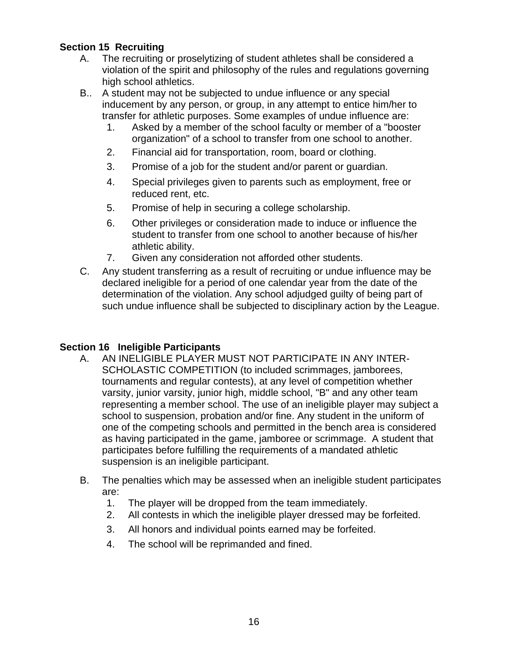## **Section 15 Recruiting**

- A. The recruiting or proselytizing of student athletes shall be considered a violation of the spirit and philosophy of the rules and regulations governing high school athletics.
- B.. A student may not be subjected to undue influence or any special inducement by any person, or group, in any attempt to entice him/her to transfer for athletic purposes. Some examples of undue influence are:
	- 1. Asked by a member of the school faculty or member of a "booster organization" of a school to transfer from one school to another.
	- 2. Financial aid for transportation, room, board or clothing.
	- 3. Promise of a job for the student and/or parent or guardian.
	- 4. Special privileges given to parents such as employment, free or reduced rent, etc.
	- 5. Promise of help in securing a college scholarship.
	- 6. Other privileges or consideration made to induce or influence the student to transfer from one school to another because of his/her athletic ability.
	- 7. Given any consideration not afforded other students.
- C. Any student transferring as a result of recruiting or undue influence may be declared ineligible for a period of one calendar year from the date of the determination of the violation. Any school adjudged guilty of being part of such undue influence shall be subjected to disciplinary action by the League.

## **Section 16 Ineligible Participants**

- A. AN INELIGIBLE PLAYER MUST NOT PARTICIPATE IN ANY INTER-SCHOLASTIC COMPETITION (to included scrimmages, jamborees, tournaments and regular contests), at any level of competition whether varsity, junior varsity, junior high, middle school, "B" and any other team representing a member school. The use of an ineligible player may subject a school to suspension, probation and/or fine. Any student in the uniform of one of the competing schools and permitted in the bench area is considered as having participated in the game, jamboree or scrimmage. A student that participates before fulfilling the requirements of a mandated athletic suspension is an ineligible participant.
- B. The penalties which may be assessed when an ineligible student participates are:
	- 1. The player will be dropped from the team immediately.
	- 2. All contests in which the ineligible player dressed may be forfeited.
	- 3. All honors and individual points earned may be forfeited.
	- 4. The school will be reprimanded and fined.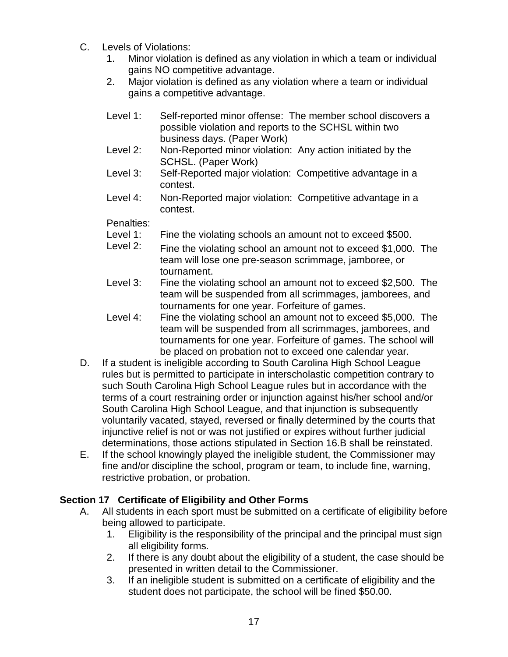- C. Levels of Violations:
	- 1. Minor violation is defined as any violation in which a team or individual gains NO competitive advantage.
	- 2. Major violation is defined as any violation where a team or individual gains a competitive advantage.
	- Level 1: Self-reported minor offense: The member school discovers a possible violation and reports to the SCHSL within two business days. (Paper Work)
	- Level 2: Non-Reported minor violation: Any action initiated by the SCHSL. (Paper Work)
	- Level 3: Self-Reported major violation: Competitive advantage in a contest.
	- Level 4: Non-Reported major violation: Competitive advantage in a contest.

Penalties:

- Level 1: Fine the violating schools an amount not to exceed \$500.
- Level 2: Fine the violating school an amount not to exceed \$1,000. The team will lose one pre-season scrimmage, jamboree, or tournament.
- Level 3: Fine the violating school an amount not to exceed \$2,500. The team will be suspended from all scrimmages, jamborees, and tournaments for one year. Forfeiture of games.
- Level 4: Fine the violating school an amount not to exceed \$5,000. The team will be suspended from all scrimmages, jamborees, and tournaments for one year. Forfeiture of games. The school will be placed on probation not to exceed one calendar year.
- D. If a student is ineligible according to South Carolina High School League rules but is permitted to participate in interscholastic competition contrary to such South Carolina High School League rules but in accordance with the terms of a court restraining order or injunction against his/her school and/or South Carolina High School League, and that injunction is subsequently voluntarily vacated, stayed, reversed or finally determined by the courts that injunctive relief is not or was not justified or expires without further judicial determinations, those actions stipulated in Section 16.B shall be reinstated.
- E. If the school knowingly played the ineligible student, the Commissioner may fine and/or discipline the school, program or team, to include fine, warning, restrictive probation, or probation.

# **Section 17 Certificate of Eligibility and Other Forms**

- A. All students in each sport must be submitted on a certificate of eligibility before being allowed to participate.
	- 1. Eligibility is the responsibility of the principal and the principal must sign all eligibility forms.
	- 2. If there is any doubt about the eligibility of a student, the case should be presented in written detail to the Commissioner.
	- 3. If an ineligible student is submitted on a certificate of eligibility and the student does not participate, the school will be fined \$50.00.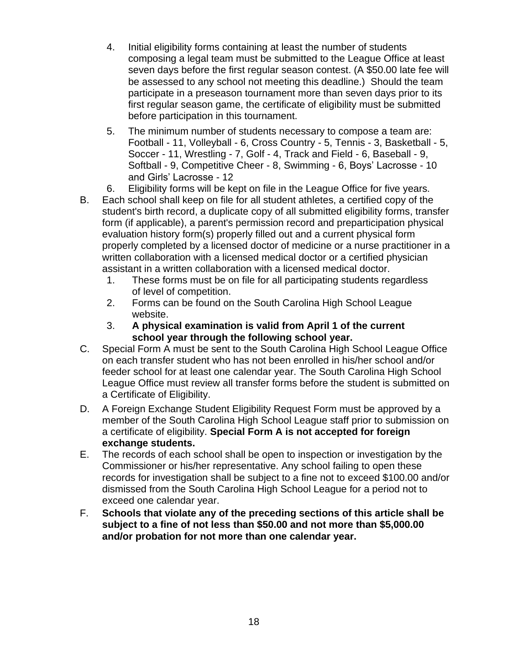- 4. Initial eligibility forms containing at least the number of students composing a legal team must be submitted to the League Office at least seven days before the first regular season contest. (A \$50.00 late fee will be assessed to any school not meeting this deadline.) Should the team participate in a preseason tournament more than seven days prior to its first regular season game, the certificate of eligibility must be submitted before participation in this tournament.
- 5. The minimum number of students necessary to compose a team are: Football - 11, Volleyball - 6, Cross Country - 5, Tennis - 3, Basketball - 5, Soccer - 11, Wrestling - 7, Golf - 4, Track and Field - 6, Baseball - 9, Softball - 9, Competitive Cheer - 8, Swimming - 6, Boys' Lacrosse - 10 and Girls' Lacrosse - 12
- 6. Eligibility forms will be kept on file in the League Office for five years.
- B. Each school shall keep on file for all student athletes, a certified copy of the student's birth record, a duplicate copy of all submitted eligibility forms, transfer form (if applicable), a parent's permission record and preparticipation physical evaluation history form(s) properly filled out and a current physical form properly completed by a licensed doctor of medicine or a nurse practitioner in a written collaboration with a licensed medical doctor or a certified physician assistant in a written collaboration with a licensed medical doctor.
	- 1. These forms must be on file for all participating students regardless of level of competition.
	- 2. Forms can be found on the South Carolina High School League website.
	- 3. **A physical examination is valid from April 1 of the current school year through the following school year.**
- C. Special Form A must be sent to the South Carolina High School League Office on each transfer student who has not been enrolled in his/her school and/or feeder school for at least one calendar year. The South Carolina High School League Office must review all transfer forms before the student is submitted on a Certificate of Eligibility.
- D. A Foreign Exchange Student Eligibility Request Form must be approved by a member of the South Carolina High School League staff prior to submission on a certificate of eligibility. **Special Form A is not accepted for foreign exchange students.**
- E. The records of each school shall be open to inspection or investigation by the Commissioner or his/her representative. Any school failing to open these records for investigation shall be subject to a fine not to exceed \$100.00 and/or dismissed from the South Carolina High School League for a period not to exceed one calendar year.
- F. **Schools that violate any of the preceding sections of this article shall be subject to a fine of not less than \$50.00 and not more than \$5,000.00 and/or probation for not more than one calendar year.**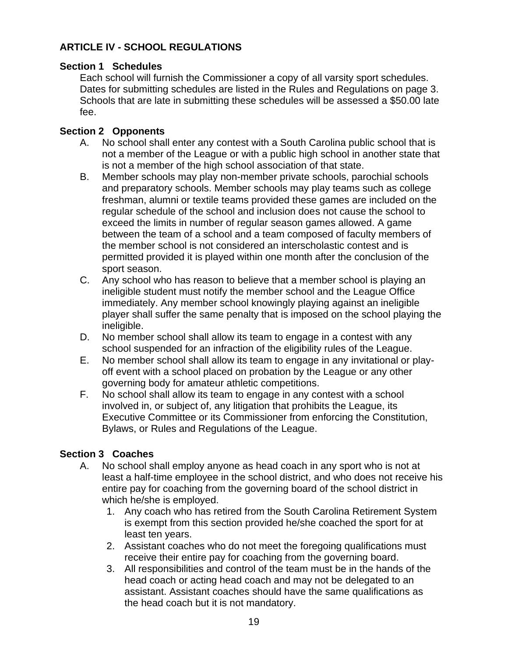## **ARTICLE IV - SCHOOL REGULATIONS**

### **Section 1 Schedules**

Each school will furnish the Commissioner a copy of all varsity sport schedules. Dates for submitting schedules are listed in the Rules and Regulations on page 3. Schools that are late in submitting these schedules will be assessed a \$50.00 late fee.

## **Section 2 Opponents**

- A. No school shall enter any contest with a South Carolina public school that is not a member of the League or with a public high school in another state that is not a member of the high school association of that state.
- B. Member schools may play non-member private schools, parochial schools and preparatory schools. Member schools may play teams such as college freshman, alumni or textile teams provided these games are included on the regular schedule of the school and inclusion does not cause the school to exceed the limits in number of regular season games allowed. A game between the team of a school and a team composed of faculty members of the member school is not considered an interscholastic contest and is permitted provided it is played within one month after the conclusion of the sport season.
- C. Any school who has reason to believe that a member school is playing an ineligible student must notify the member school and the League Office immediately. Any member school knowingly playing against an ineligible player shall suffer the same penalty that is imposed on the school playing the ineligible.
- D. No member school shall allow its team to engage in a contest with any school suspended for an infraction of the eligibility rules of the League.
- E. No member school shall allow its team to engage in any invitational or playoff event with a school placed on probation by the League or any other governing body for amateur athletic competitions.
- F. No school shall allow its team to engage in any contest with a school involved in, or subject of, any litigation that prohibits the League, its Executive Committee or its Commissioner from enforcing the Constitution, Bylaws, or Rules and Regulations of the League.

### **Section 3 Coaches**

- A. No school shall employ anyone as head coach in any sport who is not at least a half-time employee in the school district, and who does not receive his entire pay for coaching from the governing board of the school district in which he/she is employed.
	- 1. Any coach who has retired from the South Carolina Retirement System is exempt from this section provided he/she coached the sport for at least ten years.
	- 2. Assistant coaches who do not meet the foregoing qualifications must receive their entire pay for coaching from the governing board.
	- 3. All responsibilities and control of the team must be in the hands of the head coach or acting head coach and may not be delegated to an assistant. Assistant coaches should have the same qualifications as the head coach but it is not mandatory.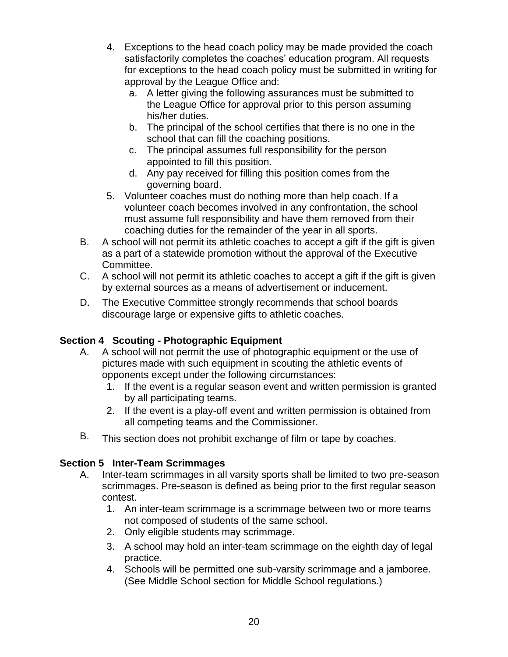- 4. Exceptions to the head coach policy may be made provided the coach satisfactorily completes the coaches' education program. All requests for exceptions to the head coach policy must be submitted in writing for approval by the League Office and:
	- a. A letter giving the following assurances must be submitted to the League Office for approval prior to this person assuming his/her duties.
	- b. The principal of the school certifies that there is no one in the school that can fill the coaching positions.
	- c. The principal assumes full responsibility for the person appointed to fill this position.
	- d. Any pay received for filling this position comes from the governing board.
- 5. Volunteer coaches must do nothing more than help coach. If a volunteer coach becomes involved in any confrontation, the school must assume full responsibility and have them removed from their coaching duties for the remainder of the year in all sports.
- B. A school will not permit its athletic coaches to accept a gift if the gift is given as a part of a statewide promotion without the approval of the Executive Committee.
- C. A school will not permit its athletic coaches to accept a gift if the gift is given by external sources as a means of advertisement or inducement.
- D. The Executive Committee strongly recommends that school boards discourage large or expensive gifts to athletic coaches.

# **Section 4 Scouting - Photographic Equipment**

- A. A school will not permit the use of photographic equipment or the use of pictures made with such equipment in scouting the athletic events of opponents except under the following circumstances:
	- 1. If the event is a regular season event and written permission is granted by all participating teams.
	- 2. If the event is a play-off event and written permission is obtained from all competing teams and the Commissioner.
- B. This section does not prohibit exchange of film or tape by coaches.

# **Section 5 Inter-Team Scrimmages**

- A. Inter-team scrimmages in all varsity sports shall be limited to two pre-season scrimmages. Pre-season is defined as being prior to the first regular season contest.
	- 1. An inter-team scrimmage is a scrimmage between two or more teams not composed of students of the same school.
	- 2. Only eligible students may scrimmage.
	- 3. A school may hold an inter-team scrimmage on the eighth day of legal practice.
	- 4. Schools will be permitted one sub-varsity scrimmage and a jamboree. (See Middle School section for Middle School regulations.)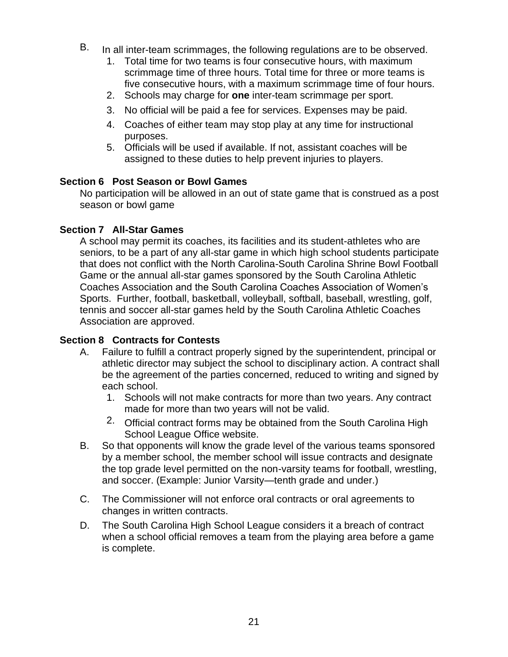- B. In all inter-team scrimmages, the following regulations are to be observed.
	- 1. Total time for two teams is four consecutive hours, with maximum scrimmage time of three hours. Total time for three or more teams is five consecutive hours, with a maximum scrimmage time of four hours.
	- 2. Schools may charge for **one** inter-team scrimmage per sport.
	- 3. No official will be paid a fee for services. Expenses may be paid.
	- 4. Coaches of either team may stop play at any time for instructional purposes.
	- 5. Officials will be used if available. If not, assistant coaches will be assigned to these duties to help prevent injuries to players.

#### **Section 6 Post Season or Bowl Games**

No participation will be allowed in an out of state game that is construed as a post season or bowl game

#### **Section 7 All-Star Games**

A school may permit its coaches, its facilities and its student-athletes who are seniors, to be a part of any all-star game in which high school students participate that does not conflict with the North Carolina-South Carolina Shrine Bowl Football Game or the annual all-star games sponsored by the South Carolina Athletic Coaches Association and the South Carolina Coaches Association of Women's Sports. Further, football, basketball, volleyball, softball, baseball, wrestling, golf, tennis and soccer all-star games held by the South Carolina Athletic Coaches Association are approved.

#### **Section 8 Contracts for Contests**

- A. Failure to fulfill a contract properly signed by the superintendent, principal or athletic director may subject the school to disciplinary action. A contract shall be the agreement of the parties concerned, reduced to writing and signed by each school.
	- 1. Schools will not make contracts for more than two years. Any contract made for more than two years will not be valid.
	- 2. Official contract forms may be obtained from the South Carolina High School League Office website.
- B. So that opponents will know the grade level of the various teams sponsored by a member school, the member school will issue contracts and designate the top grade level permitted on the non-varsity teams for football, wrestling, and soccer. (Example: Junior Varsity—tenth grade and under.)
- C. The Commissioner will not enforce oral contracts or oral agreements to changes in written contracts.
- D. The South Carolina High School League considers it a breach of contract when a school official removes a team from the playing area before a game is complete.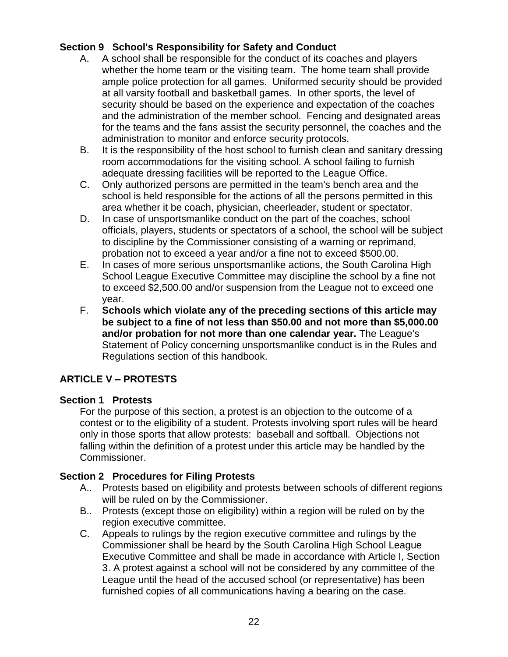## **Section 9 School's Responsibility for Safety and Conduct**

- A. A school shall be responsible for the conduct of its coaches and players whether the home team or the visiting team. The home team shall provide ample police protection for all games. Uniformed security should be provided at all varsity football and basketball games. In other sports, the level of security should be based on the experience and expectation of the coaches and the administration of the member school. Fencing and designated areas for the teams and the fans assist the security personnel, the coaches and the administration to monitor and enforce security protocols.
- B. It is the responsibility of the host school to furnish clean and sanitary dressing room accommodations for the visiting school. A school failing to furnish adequate dressing facilities will be reported to the League Office.
- C. Only authorized persons are permitted in the team's bench area and the school is held responsible for the actions of all the persons permitted in this area whether it be coach, physician, cheerleader, student or spectator.
- D. In case of unsportsmanlike conduct on the part of the coaches, school officials, players, students or spectators of a school, the school will be subject to discipline by the Commissioner consisting of a warning or reprimand, probation not to exceed a year and/or a fine not to exceed \$500.00.
- E. In cases of more serious unsportsmanlike actions, the South Carolina High School League Executive Committee may discipline the school by a fine not to exceed \$2,500.00 and/or suspension from the League not to exceed one year.
- F. **Schools which violate any of the preceding sections of this article may be subject to a fine of not less than \$50.00 and not more than \$5,000.00 and/or probation for not more than one calendar year.** The League's Statement of Policy concerning unsportsmanlike conduct is in the Rules and Regulations section of this handbook.

# **ARTICLE V – PROTESTS**

## **Section 1 Protests**

For the purpose of this section, a protest is an objection to the outcome of a contest or to the eligibility of a student. Protests involving sport rules will be heard only in those sports that allow protests: baseball and softball. Objections not falling within the definition of a protest under this article may be handled by the Commissioner.

## **Section 2 Procedures for Filing Protests**

- A.. Protests based on eligibility and protests between schools of different regions will be ruled on by the Commissioner.
- B.. Protests (except those on eligibility) within a region will be ruled on by the region executive committee.
- C. Appeals to rulings by the region executive committee and rulings by the Commissioner shall be heard by the South Carolina High School League Executive Committee and shall be made in accordance with Article I, Section 3. A protest against a school will not be considered by any committee of the League until the head of the accused school (or representative) has been furnished copies of all communications having a bearing on the case.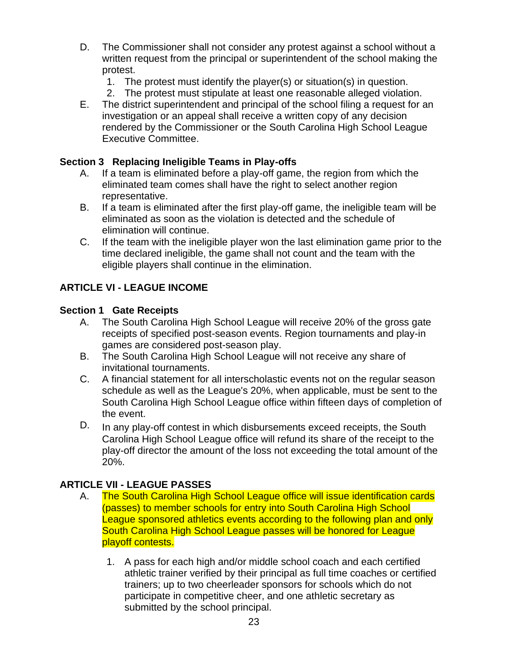- D. The Commissioner shall not consider any protest against a school without a written request from the principal or superintendent of the school making the protest.
	- 1. The protest must identify the player(s) or situation(s) in question.
	- 2. The protest must stipulate at least one reasonable alleged violation.
- E. The district superintendent and principal of the school filing a request for an investigation or an appeal shall receive a written copy of any decision rendered by the Commissioner or the South Carolina High School League Executive Committee.

## **Section 3 Replacing Ineligible Teams in Play-offs**

- A. If a team is eliminated before a play-off game, the region from which the eliminated team comes shall have the right to select another region representative.
- B. If a team is eliminated after the first play-off game, the ineligible team will be eliminated as soon as the violation is detected and the schedule of elimination will continue.
- C. If the team with the ineligible player won the last elimination game prior to the time declared ineligible, the game shall not count and the team with the eligible players shall continue in the elimination.

# **ARTICLE VI - LEAGUE INCOME**

## **Section 1 Gate Receipts**

- A. The South Carolina High School League will receive 20% of the gross gate receipts of specified post-season events. Region tournaments and play-in games are considered post-season play.
- B. The South Carolina High School League will not receive any share of invitational tournaments.
- C. A financial statement for all interscholastic events not on the regular season schedule as well as the League's 20%, when applicable, must be sent to the South Carolina High School League office within fifteen days of completion of the event.
- D. In any play-off contest in which disbursements exceed receipts, the South Carolina High School League office will refund its share of the receipt to the play-off director the amount of the loss not exceeding the total amount of the 20%.

# **ARTICLE VII - LEAGUE PASSES**

- A. The South Carolina High School League office will issue identification cards (passes) to member schools for entry into South Carolina High School League sponsored athletics events according to the following plan and only South Carolina High School League passes will be honored for League playoff contests.
	- 1. A pass for each high and/or middle school coach and each certified athletic trainer verified by their principal as full time coaches or certified trainers; up to two cheerleader sponsors for schools which do not participate in competitive cheer, and one athletic secretary as submitted by the school principal.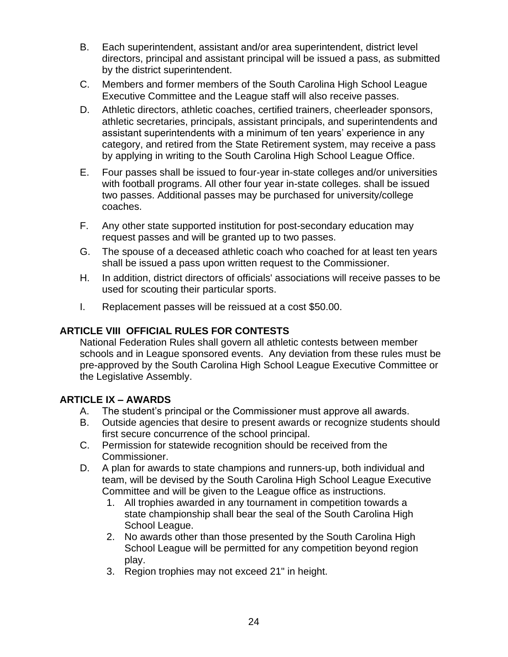- B. Each superintendent, assistant and/or area superintendent, district level directors, principal and assistant principal will be issued a pass, as submitted by the district superintendent.
- C. Members and former members of the South Carolina High School League Executive Committee and the League staff will also receive passes.
- D. Athletic directors, athletic coaches, certified trainers, cheerleader sponsors, athletic secretaries, principals, assistant principals, and superintendents and assistant superintendents with a minimum of ten years' experience in any category, and retired from the State Retirement system, may receive a pass by applying in writing to the South Carolina High School League Office.
- E. Four passes shall be issued to four-year in-state colleges and/or universities with football programs. All other four year in-state colleges. shall be issued two passes. Additional passes may be purchased for university/college coaches.
- F. Any other state supported institution for post-secondary education may request passes and will be granted up to two passes.
- G. The spouse of a deceased athletic coach who coached for at least ten years shall be issued a pass upon written request to the Commissioner.
- H. In addition, district directors of officials' associations will receive passes to be used for scouting their particular sports.
- I. Replacement passes will be reissued at a cost \$50.00.

# **ARTICLE VIII OFFICIAL RULES FOR CONTESTS**

National Federation Rules shall govern all athletic contests between member schools and in League sponsored events. Any deviation from these rules must be pre-approved by the South Carolina High School League Executive Committee or the Legislative Assembly.

## **ARTICLE IX – AWARDS**

- A. The student's principal or the Commissioner must approve all awards.
- B. Outside agencies that desire to present awards or recognize students should first secure concurrence of the school principal.
- C. Permission for statewide recognition should be received from the Commissioner.
- D. A plan for awards to state champions and runners-up, both individual and team, will be devised by the South Carolina High School League Executive Committee and will be given to the League office as instructions.
	- 1. All trophies awarded in any tournament in competition towards a state championship shall bear the seal of the South Carolina High School League.
	- 2. No awards other than those presented by the South Carolina High School League will be permitted for any competition beyond region play.
	- 3. Region trophies may not exceed 21" in height.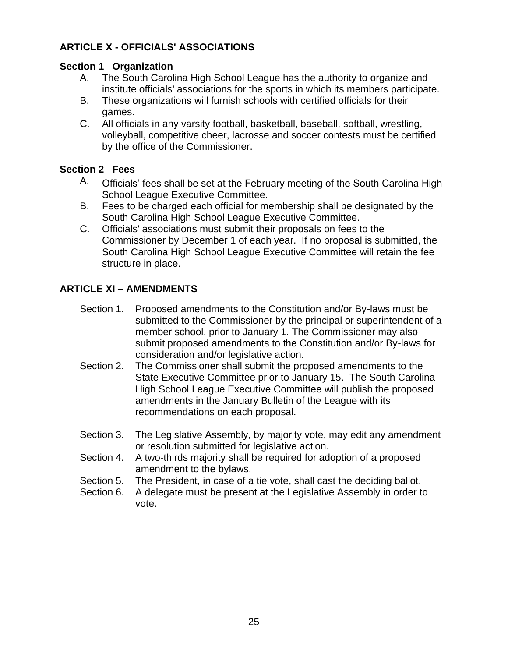# **ARTICLE X - OFFICIALS' ASSOCIATIONS**

### **Section 1 Organization**

- A. The South Carolina High School League has the authority to organize and institute officials' associations for the sports in which its members participate.
- B. These organizations will furnish schools with certified officials for their games.
- C. All officials in any varsity football, basketball, baseball, softball, wrestling, volleyball, competitive cheer, lacrosse and soccer contests must be certified by the office of the Commissioner.

## **Section 2 Fees**

- A. Officials' fees shall be set at the February meeting of the South Carolina High School League Executive Committee.
- B. Fees to be charged each official for membership shall be designated by the South Carolina High School League Executive Committee.
- C. Officials' associations must submit their proposals on fees to the Commissioner by December 1 of each year. If no proposal is submitted, the South Carolina High School League Executive Committee will retain the fee structure in place.

# **ARTICLE XI – AMENDMENTS**

- Section 1. Proposed amendments to the Constitution and/or By-laws must be submitted to the Commissioner by the principal or superintendent of a member school, prior to January 1. The Commissioner may also submit proposed amendments to the Constitution and/or By-laws for consideration and/or legislative action.
- Section 2. The Commissioner shall submit the proposed amendments to the State Executive Committee prior to January 15. The South Carolina High School League Executive Committee will publish the proposed amendments in the January Bulletin of the League with its recommendations on each proposal.
- Section 3. The Legislative Assembly, by majority vote, may edit any amendment or resolution submitted for legislative action.
- Section 4. A two-thirds majority shall be required for adoption of a proposed amendment to the bylaws.
- Section 5. The President, in case of a tie vote, shall cast the deciding ballot.
- Section 6. A delegate must be present at the Legislative Assembly in order to vote.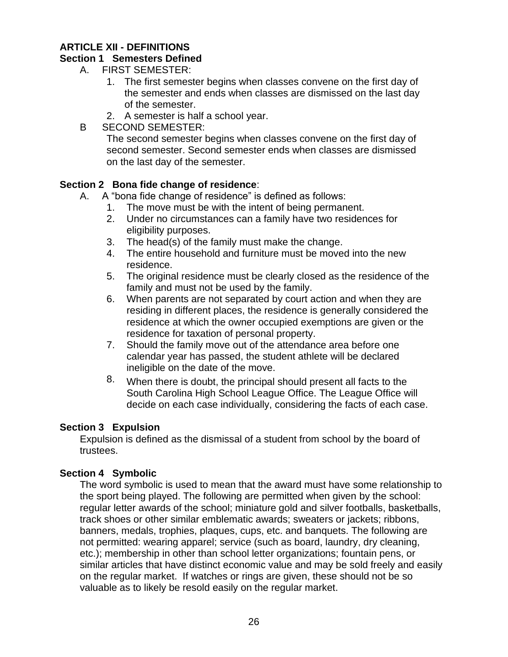### **ARTICLE XII - DEFINITIONS**

### **Section 1 Semesters Defined**

- A. FIRST SEMESTER:
	- 1. The first semester begins when classes convene on the first day of the semester and ends when classes are dismissed on the last day of the semester.
	- 2. A semester is half a school year.
- B SECOND SEMESTER:

The second semester begins when classes convene on the first day of second semester. Second semester ends when classes are dismissed on the last day of the semester.

### **Section 2 Bona fide change of residence**:

- A. A "bona fide change of residence" is defined as follows:
	- 1. The move must be with the intent of being permanent.
	- 2. Under no circumstances can a family have two residences for eligibility purposes.
	- 3. The head(s) of the family must make the change.
	- 4. The entire household and furniture must be moved into the new residence.
	- 5. The original residence must be clearly closed as the residence of the family and must not be used by the family.
	- 6. When parents are not separated by court action and when they are residing in different places, the residence is generally considered the residence at which the owner occupied exemptions are given or the residence for taxation of personal property.
	- 7. Should the family move out of the attendance area before one calendar year has passed, the student athlete will be declared ineligible on the date of the move.
	- 8. When there is doubt, the principal should present all facts to the South Carolina High School League Office. The League Office will decide on each case individually, considering the facts of each case.

### **Section 3 Expulsion**

Expulsion is defined as the dismissal of a student from school by the board of trustees.

## **Section 4 Symbolic**

The word symbolic is used to mean that the award must have some relationship to the sport being played. The following are permitted when given by the school: regular letter awards of the school; miniature gold and silver footballs, basketballs, track shoes or other similar emblematic awards; sweaters or jackets; ribbons, banners, medals, trophies, plaques, cups, etc. and banquets. The following are not permitted: wearing apparel; service (such as board, laundry, dry cleaning, etc.); membership in other than school letter organizations; fountain pens, or similar articles that have distinct economic value and may be sold freely and easily on the regular market. If watches or rings are given, these should not be so valuable as to likely be resold easily on the regular market.